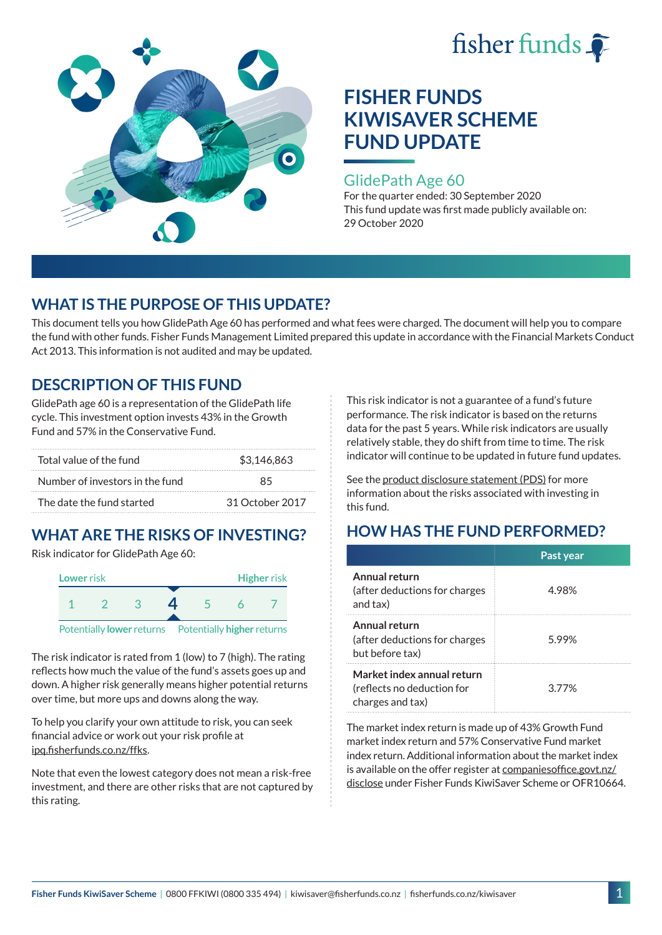



#### GlidePath Age 60

For the quarter ended: 30 September 2020 This fund update was first made publicly available on: 29 October 2020

## **WHAT IS THE PURPOSE OF THIS UPDATE?**

This document tells you how GlidePath Age 60 has performed and what fees were charged. The document will help you to compare the fund with other funds. Fisher Funds Management Limited prepared this update in accordance with the Financial Markets Conduct Act 2013. This information is not audited and may be updated.

## **DESCRIPTION OF THIS FUND**

GlidePath age 60 is a representation of the GlidePath life cycle. This investment option invests 43% in the Growth Fund and 57% in the Conservative Fund.

| Total value of the fund         | \$3,146,863     |  |  |
|---------------------------------|-----------------|--|--|
| Number of investors in the fund | 85              |  |  |
| The date the fund started       | 31 October 2017 |  |  |

# **WHAT ARE THE RISKS OF INVESTING?**

Risk indicator for GlidePath Age 60:



The risk indicator is rated from 1 (low) to 7 (high). The rating reflects how much the value of the fund's assets goes up and

down. A higher risk generally means higher potential returns over time, but more ups and downs along the way.

To help you clarify your own attitude to risk, you can seek financial advice or work out your risk profile at [ipq.fisherfunds.co.nz/ffks](https://ipq.fisherfunds.co.nz/ffks).

Note that even the lowest category does not mean a risk-free investment, and there are other risks that are not captured by this rating.

This risk indicator is not a guarantee of a fund's future performance. The risk indicator is based on the returns data for the past 5 years. While risk indicators are usually relatively stable, they do shift from time to time. The risk indicator will continue to be updated in future fund updates.

See the [product disclosure statement \(PDS\)](https://fisherfunds.co.nz/assets/PDS/Fisher-Funds-KiwiSaver-Scheme-PDS.pdf) for more information about the risks associated with investing in this fund.

## **HOW HAS THE FUND PERFORMED?**

|                                                                              | Past year |
|------------------------------------------------------------------------------|-----------|
| Annual return<br>(after deductions for charges<br>and tax)                   | 4.98%     |
| Annual return<br>(after deductions for charges<br>but before tax)            | 5.99%     |
| Market index annual return<br>(reflects no deduction for<br>charges and tax) | 377%      |

The market index return is made up of 43% Growth Fund market index return and 57% Conservative Fund market index return. Additional information about the market index is available on the offer register at [companiesoffice.govt.nz/](http://companiesoffice.govt.nz/disclose) [disclose](http://companiesoffice.govt.nz/disclose) under Fisher Funds KiwiSaver Scheme or OFR10664.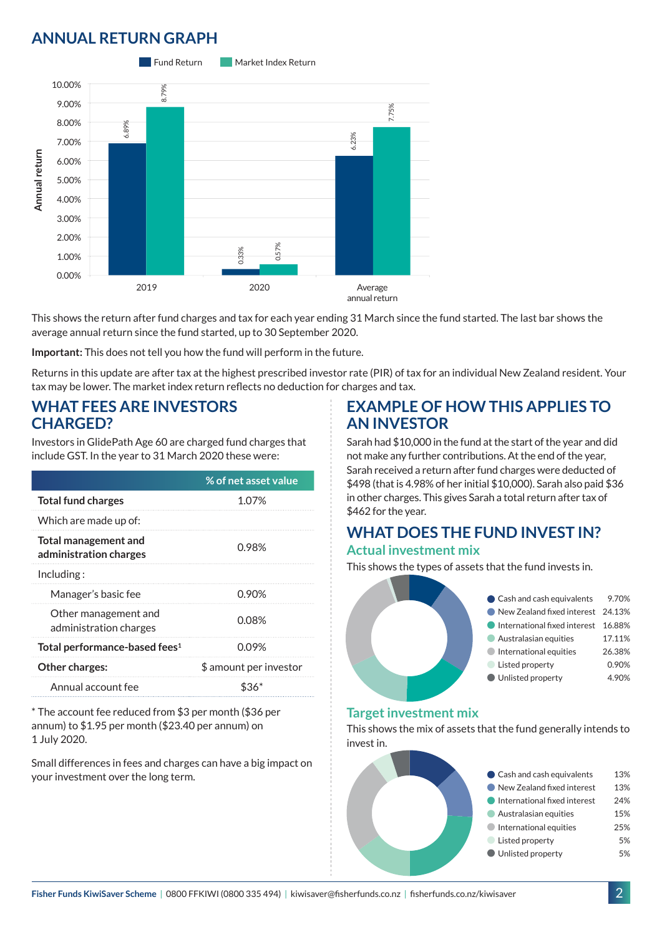## **ANNUAL RETURN GRAPH**



This shows the return after fund charges and tax for each year ending 31 March since the fund started. The last bar shows the average annual return since the fund started, up to 30 September 2020.

**Important:** This does not tell you how the fund will perform in the future.

Returns in this update are after tax at the highest prescribed investor rate (PIR) of tax for an individual New Zealand resident. Your tax may be lower. The market index return reflects no deduction for charges and tax.

#### **WHAT FEES ARE INVESTORS CHARGED?**

Investors in GlidePath Age 60 are charged fund charges that include GST. In the year to 31 March 2020 these were:

|                                                | % of net asset value   |
|------------------------------------------------|------------------------|
| <b>Total fund charges</b>                      | 1.07%                  |
| Which are made up of:                          |                        |
| Total management and<br>administration charges | 0.98%                  |
| Including:                                     |                        |
| Manager's basic fee                            | 0.90%                  |
| Other management and<br>administration charges | 0.08%                  |
| Total performance-based fees <sup>1</sup>      | 0.09%                  |
| <b>Other charges:</b>                          | \$ amount per investor |
| Annual account fee                             |                        |

\* The account fee reduced from \$3 per month (\$36 per annum) to \$1.95 per month (\$23.40 per annum) on 1 July 2020.

Small differences in fees and charges can have a big impact on your investment over the long term.

#### **EXAMPLE OF HOW THIS APPLIES TO AN INVESTOR**

Sarah had \$10,000 in the fund at the start of the year and did not make any further contributions. At the end of the year, Sarah received a return after fund charges were deducted of \$498 (that is 4.98% of her initial \$10,000). Sarah also paid \$36 in other charges. This gives Sarah a total return after tax of \$462 for the year.

## **WHAT DOES THE FUND INVEST IN? Actual investment mix**

This shows the types of assets that the fund invests in.



#### **Target investment mix**

This shows the mix of assets that the fund generally intends to invest in.